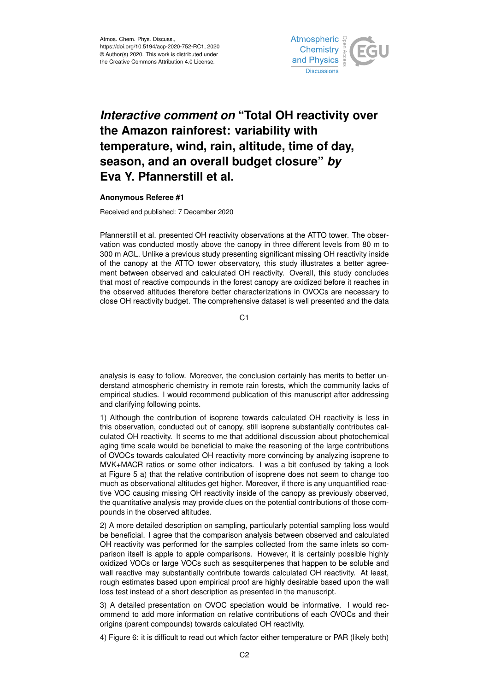

## *Interactive comment on* **"Total OH reactivity over the Amazon rainforest: variability with temperature, wind, rain, altitude, time of day, season, and an overall budget closure"** *by* **Eva Y. Pfannerstill et al.**

## **Anonymous Referee #1**

Received and published: 7 December 2020

Pfannerstill et al. presented OH reactivity observations at the ATTO tower. The observation was conducted mostly above the canopy in three different levels from 80 m to 300 m AGL. Unlike a previous study presenting significant missing OH reactivity inside of the canopy at the ATTO tower observatory, this study illustrates a better agreement between observed and calculated OH reactivity. Overall, this study concludes that most of reactive compounds in the forest canopy are oxidized before it reaches in the observed altitudes therefore better characterizations in OVOCs are necessary to close OH reactivity budget. The comprehensive dataset is well presented and the data

 $C<sub>1</sub>$ 

analysis is easy to follow. Moreover, the conclusion certainly has merits to better understand atmospheric chemistry in remote rain forests, which the community lacks of empirical studies. I would recommend publication of this manuscript after addressing and clarifying following points.

1) Although the contribution of isoprene towards calculated OH reactivity is less in this observation, conducted out of canopy, still isoprene substantially contributes calculated OH reactivity. It seems to me that additional discussion about photochemical aging time scale would be beneficial to make the reasoning of the large contributions of OVOCs towards calculated OH reactivity more convincing by analyzing isoprene to MVK+MACR ratios or some other indicators. I was a bit confused by taking a look at Figure 5 a) that the relative contribution of isoprene does not seem to change too much as observational altitudes get higher. Moreover, if there is any unquantified reactive VOC causing missing OH reactivity inside of the canopy as previously observed, the quantitative analysis may provide clues on the potential contributions of those compounds in the observed altitudes.

2) A more detailed description on sampling, particularly potential sampling loss would be beneficial. I agree that the comparison analysis between observed and calculated OH reactivity was performed for the samples collected from the same inlets so comparison itself is apple to apple comparisons. However, it is certainly possible highly oxidized VOCs or large VOCs such as sesquiterpenes that happen to be soluble and wall reactive may substantially contribute towards calculated OH reactivity. At least, rough estimates based upon empirical proof are highly desirable based upon the wall loss test instead of a short description as presented in the manuscript.

3) A detailed presentation on OVOC speciation would be informative. I would recommend to add more information on relative contributions of each OVOCs and their origins (parent compounds) towards calculated OH reactivity.

4) Figure 6: it is difficult to read out which factor either temperature or PAR (likely both)